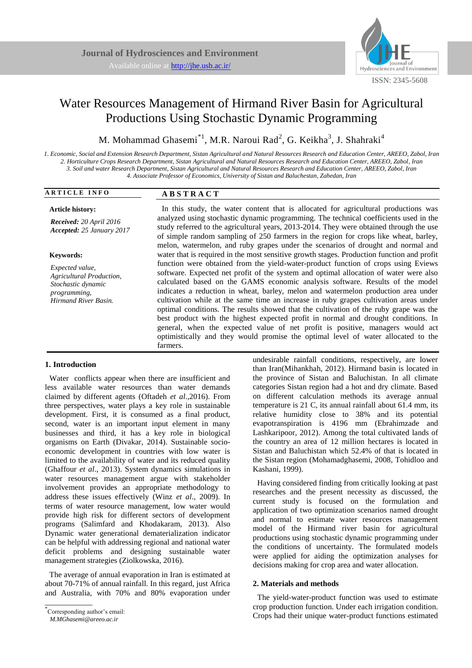

# Water Resources Management of Hirmand River Basin for Agricultural Productions Using Stochastic Dynamic Programming

M. Mohammad Ghasemi $^{*1}$ , M.R. Naroui Rad<sup>2</sup>, G. Keikha<sup>3</sup>, J. Shahraki<sup>4</sup>

*1. Economic, Social and Extension Research Department, Sistan Agricultural and Natural Resources Research and Education Center, AREEO, Zabol, Iran 2. Horticulture Crops Research Department, Sistan Agricultural and Natural Resources Research and Education Center, AREEO, Zabol, Iran 3. Soil and water Research Department, Sistan Agricultural and Natural Resources Research and Education Center, AREEO, Zabol, Iran 4. Associate Professor of Economics, University of Sistan and Baluchestan, Zahedan, Iran*

| <b>ARTICLE INFO</b>                                  | <b>ABSTRACT</b>                                                                                                                                                                  |  |  |
|------------------------------------------------------|----------------------------------------------------------------------------------------------------------------------------------------------------------------------------------|--|--|
| <b>Article history:</b>                              | In this study, the water content that is allocated for agricultural productions was                                                                                              |  |  |
| Received: 20 April 2016<br>Accepted: 25 January 2017 | analyzed using stochastic dynamic programming. The technical coefficients used in the<br>study referred to the agricultural years, 2013-2014. They were obtained through the use |  |  |
|                                                      | of simple random sampling of 250 farmers in the region for crops like wheat, barley,                                                                                             |  |  |
|                                                      | melon, watermelon, and ruby grapes under the scenarios of drought and normal and                                                                                                 |  |  |
| <b>Keywords:</b>                                     | water that is required in the most sensitive growth stages. Production function and profit                                                                                       |  |  |
| $\mathbf{r}$ $\mathbf{r}$ $\mathbf{r}$ $\mathbf{r}$  | function were obtained from the yield-water-product function of crops using Eviews                                                                                               |  |  |

*Expected value, Agricultural Production, Stochastic dynamic programming, Hirmand River Basin.*

function were obtained from the yield-water-product function of crops using Eviews software. Expected net profit of the system and optimal allocation of water were also calculated based on the GAMS economic analysis software. Results of the model indicates a reduction in wheat, barley, melon and watermelon production area under cultivation while at the same time an increase in ruby grapes cultivation areas under optimal conditions. The results showed that the cultivation of the ruby grape was the best product with the highest expected profit in normal and drought conditions. In general, when the expected value of net profit is positive, managers would act optimistically and they would promise the optimal level of water allocated to the farmers.

# **1. Introduction**

Water conflicts appear when there are insufficient and less available water resources than water demands claimed by different agents (Oftadeh *et al*.,2016). From three perspectives, water plays a key role in sustainable development. First, it is consumed as a final product, second, water is an important input element in many businesses and third, it has a key role in biological organisms on Earth (Divakar, 2014). Sustainable socioeconomic development in countries with low water is limited to the availability of water and its reduced quality (Ghaffour *et al*., 2013). System dynamics simulations in water resources management argue with stakeholder involvement provides an appropriate methodology to address these issues effectively (Winz *et al*., 2009). In terms of water resource management, low water would provide high risk for different sectors of development programs [\(Salimfard and Khodakaram, 2013\)](#page-4-0). Also Dynamic water generational dematerialization indicator can be helpful with addressing regional and national water deficit problems and designing sustainable water management strategies (Ziolkowska, 2016).

The average of annual evaporation in Iran is estimated at about 70-71% of annual rainfall. In this regard, just Africa and Australia, with 70% and 80% evaporation under

\_\_\_\_\_\_\_\_\_\_\_\_

undesirable rainfall conditions, respectively, are lower than Iran(Mihankhah, 2012). Hirmand basin is located in the province of Sistan and Baluchistan. In all climate categories Sistan region had a hot and dry climate. Based on different calculation methods its average annual temperature is 21 C, its annual rainfall about 61.4 mm, its relative humidity close to 38% and its potential evapotranspiration is 4196 mm (Ebrahimzade and Lashkaripoor, 2012). Among the total cultivated lands of the country an area of 12 million hectares is located in Sistan and Baluchistan which 52.4% of that is located in the Sistan region [\(Mohamadghasemi, 2008,](#page-4-1) Tohidloo and Kashani, 1999).

Having considered finding from critically looking at past researches and the present necessity as discussed, the current study is focused on the formulation and application of two optimization scenarios named drought and normal to estimate water resources management model of the Hirmand river basin for agricultural productions using stochastic dynamic programming under the conditions of uncertainty. The formulated models were applied for aiding the optimization analyses for decisions making for crop area and water allocation.

## **2. Materials and methods**

The yield-water-product function was used to estimate crop production function. Under each irrigation condition. Crops had their unique water-product functions estimated

<sup>\*</sup> Corresponding author's email:

*M.MGhasemi@areeo.ac.ir*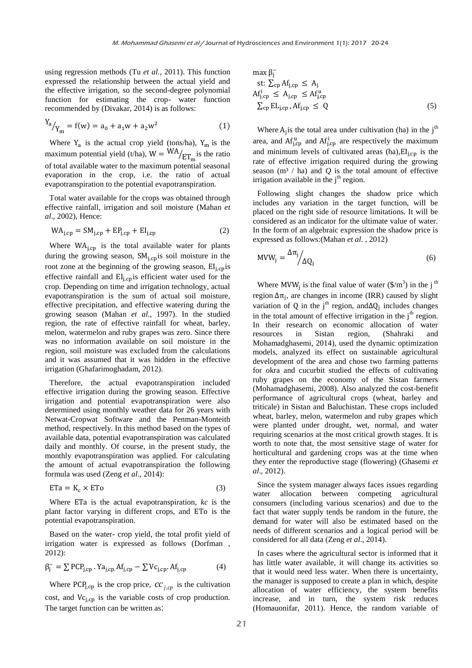using regression methods (Tu *et al.*, 2011). This function expressed the relationship between the actual yield and the effective irrigation, so the second-degree polynomial function for estimating the crop- water function recommended by (Divakar, 2014) is as follows:

$$
Y_a / Y_m = f(w) = a_0 + a_1 w + a_2 w^2
$$
 (1)

Where  $Y_a$  is the actual crop yield (tons/ha),  $Y_m$  is the maximum potential yield (t/ha),  $W = W A / E T_m$  is the ratio of total available water to the maximum potential seasonal evaporation in the crop, i.e. the ratio of actual evapotranspiration to the potential evapotranspiration.

Total water available for the crops was obtained through effective rainfall, irrigation and soil moisture [\(Mahan](#page-4-2) *et al*[., 2002\)](#page-4-2), Hence:

$$
WAi,cp = SMi,cp + EPi,cp + EIi,cp
$$
 (2)

Where  $WA<sub>i,cp</sub>$  is the total available water for plants during the growing season,  $SM<sub>i,cp</sub>$  is soil moisture in the root zone at the beginning of the growing season,  $EI_{\text{ion}}$  is effective rainfall and  $EI<sub>i cop</sub>$  is efficient water used for the crop. Depending on time and irrigation technology, actual evapotranspiration is the sum of actual soil moisture, effective precipitation, and effective watering during the growing season (Mahan *et al*[., 1997\)](#page-4-3). In the studied region, the rate of effective rainfall for wheat, barley, melon, watermelon and ruby grapes was zero. Since there was no information available on soil moisture in the region, soil moisture was excluded from the calculations and it was assumed that it was hidden in the effective irrigation [\(Ghafarimoghadam, 2012\)](#page-4-4).

Therefore, the actual evapotranspiration included effective irrigation during the growing season. Effective irrigation and potential evapotranspiration were also determined using monthly weather data for 26 years with Netwat-Cropwat Software and the Penman-Monteith method, respectively. In this method based on the types of available data, potential evapotranspiration was calculated daily and monthly. Of course, in the present study, the monthly evapotranspiration was applied. For calculating the amount of actual evapotranspiration the following formula was used (Zeng *et al*., 2014):

$$
ETa = K_c \times ETo
$$
 (3)

Where ETa is the actual evapotranspiration, *kc* is the plant factor varying in different crops, and ETo is the potential evapotranspiration.

Based on the water- crop yield, the total profit yield of irrigation water is expressed as follows (Dorfman , 2012):

$$
\beta_j^{\sim} = \sum PCP_{j,cp} \cdot \text{Ya}_{j,cp} \cdot \text{Af}_{j,cp} - \sum VC_{j,cp} \cdot \text{Af}_{j,cp} \tag{4}
$$

Where PCP<sub>j,cp</sub> is the crop price,  $cc_{j,cp}$  is the cultivation cost, and  $Vc_{i,cp}$  is the variable costs of crop production. The target function can be written as:

$$
\max \beta_j^{\sim} \nst: \sum_{cp} Af_{j,cp} \le A_j \nAf_{j,cp}^i \le A_{j,cp} \le Af_{j,cp}^u \n\sum_{cp} EL_{j,cp}, Af_{j,cp} \le Q
$$
\n(5)

Where  $A_i$  is the total area under cultivation (ha) in the j<sup>th</sup> area, and  $Af_{\text{ion}}^u$  and  $Af_{\text{ion}}^i$  are respectively the maximum and minimum levels of cultivated areas (ha),  $EI<sub>i, cp</sub>$  is the rate of effective irrigation required during the growing season  $(m<sup>3</sup> / ha)$  and *Q* is the total amount of effective irrigation available in the  $j<sup>th</sup>$  region.

Following slight changes the shadow price which includes any variation in the target function, will be placed on the right side of resource limitations. It will be considered as an indicator for the ultimate value of water. In the form of an algebraic expression the shadow price is expressed as follows:(Mahan *et al*[. , 2012\)](#page-4-5)

$$
MVW_j = \frac{\Delta \pi_j}{\Delta Q_j} \tag{6}
$$

Where MVW<sub>i</sub> is the final value of water  $(\frac{1}{2})$  in the j<sup>th</sup> region  $\Delta \pi_i$ , are changes in income (IRR) caused by slight variation of Q in the j<sup>th</sup> region, and  $\Delta Q_i$  includes changes in the total amount of effective irrigation in the  $j<sup>th</sup>$  region. In their research on economic allocation of water resources in Sistan region, (Shahraki and Mohamadghasemi, 2014), used the dynamic optimization models, analyzed its effect on sustainable agricultural development of the area and chose two farming patterns for okra and cucurbit studied the effects of cultivating ruby grapes on the economy of the Sistan farmers [\(Mohamadghasemi, 2008\)](#page-4-1). Also analyzed the cost-benefit performance of agricultural crops (wheat, barley and triticale) in Sistan and Baluchistan. These crops included wheat, barley, melon, watermelon and ruby grapes which were planted under drought, wet, normal, and water requiring scenarios at the most critical growth stages. It is worth to note that, the most sensitive stage of water for horticultural and gardening crops was at the time when they enter the reproductive stage (flowering) [\(Ghasemi](#page-4-6) *et al*[., 2012\)](#page-4-6).

Since the system manager always faces issues regarding water allocation between competing agricultural consumers (including various scenarios) and due to the fact that water supply tends be random in the future, the demand for water will also be estimated based on the needs of different scenarios and a logical period will be considered for all data (Zeng *et al*., 2014).

In cases where the agricultural sector is informed that it has little water available, it will change its activities so that it would need less water. When there is uncertainty, the manager is supposed to create a plan in which, despite allocation of water efficiency, the system benefits increase, and in turn, the system risk reduces (Homauonifar, 2011). Hence, the random variable of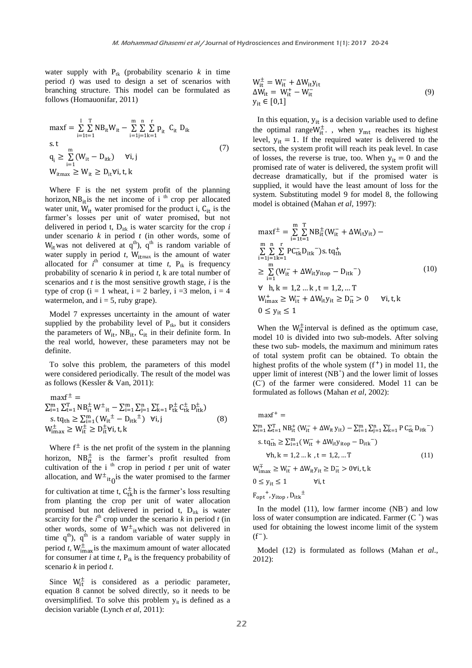water supply with  $P_{tk}$  (probability scenario  $k$  in time period *t*) was used to design a set of scenarios with branching structure. This model can be formulated as follows (Homauonifar, 2011)

$$
\max f = \sum_{i=1}^{I} \sum_{t=1}^{T} NB_{it} W_{it} - \sum_{i=1}^{m} \sum_{j=1}^{n} \sum_{k=1}^{r} p_{it} C_{it} D_{ik}
$$
  
s.t  

$$
q_{i} \geq \sum_{i=1}^{m} (W_{it} - D_{itk}) \quad \forall i, j
$$

$$
W_{itmax} \geq W_{it} \geq D_{it} \forall i, t, k
$$

$$
(7)
$$

Where F is the net system profit of the planning horizon,  $NB_{it}$  is the net income of i <sup>th</sup> crop per allocated water unit,  $W_{it}$  water promised for the product i,  $C_{it}$  is the farmer's losses per unit of water promised, but not delivered in period  $t$ ,  $D_{itk}$  is water scarcity for the crop  $i$ under scenario *k* in period *t* (in other words, some of  $W_{it}$ was not delivered at q<sup>th</sup>), q<sup>th</sup> is random variable of water supply in period  $t$ ,  $W_{\text{itmax}}$  is the amount of water allocated for  $i^{\text{th}}$  consumer at time  $t$ ,  $P_{tk}$  is frequency probability of scenario *k* in period *t*, k are total number of scenarios and *t* is the most sensitive growth stage, *i* is the type of crop  $(i = 1$  wheat,  $i = 2$  barley,  $i = 3$  melon,  $i = 4$ watermelon, and  $i = 5$ , ruby grape).

Model 7 expresses uncertainty in the amount of water supplied by the probability level of  $P_{tk}$ , but it considers the parameters of  $W_{it}$ ,  $NB_{it}$ ,  $C_{it}$  in their definite form. In the real world, however, these parameters may not be definite.

To solve this problem, the parameters of this model were considered periodically. The result of the model was as follows (Kessler & Van, 2011):

$$
\begin{array}{l}\n\max f^{\pm} = \\
\sum_{i=1}^{m} \sum_{t=1}^{T} NB_{it}^{\pm} W^{\pm}_{it} - \sum_{i=1}^{m} \sum_{j=1}^{n} \sum_{k=1}^{r} P_{tk}^{\pm} C_{tk}^{\pm} D_{itk}^{\pm}) \\
s.tq_{th} \geq \sum_{i=1}^{m} (W_{it}^{\pm} - D_{itk}^{\pm}) \quad \forall i, j \\
W_{\text{max}}^{\pm} \geq W_{it}^{\pm} \geq D_{it}^{\pm} \forall i, t, k\n\end{array} \tag{8}
$$

Where  $f^{\pm}$  is the net profit of the system in the planning horizon,  $NB_{it}^{\pm}$  is the farmer's profit resulted from cultivation of the i<sup>th</sup> crop in period  $t$  per unit of water allocation, and  $W^{\pm}$ <sub>it</sub> is the water promised to the farmer for cultivation at time t,  $C_{t_k}^{\pm}$ h is the farmer's loss resulting from planting the crop per unit of water allocation promised but not delivered in period t, D<sub>itk</sub> is water scarcity for the  $i^{\text{th}}$  crop under the scenario  $k$  in period  $t$  (in other words, some of  $W^{\pm}$ <sub>it</sub> which was not delivered in time  $q^{th}$ ),  $q^{th}$  is a random variable of water supply in period *t*,  $W_{\text{imax}}^{\pm}$  is the maximum amount of water allocated for consumer  $i$  at time  $t$ ,  $P_{tk}$  is the frequency probability of scenario *k* in period *t*.

Since  $W_{it}^{\pm}$  is considered as a periodic parameter, equation 8 cannot be solved directly, so it needs to be oversimplified. To solve this problem  $y_{it}$  is defined as a decision variable (Lynch *et al*, 2011):

$$
W_{it}^{\pm} = W_{it}^- + \Delta W_{it} y_{it}
$$
  
\n
$$
\Delta W_{it} = W_{it}^+ - W_{it}^-
$$
  
\n
$$
y_{it} \in [0,1]
$$
\n(9)

In this equation,  $y_{it}$  is a decision variable used to define the optimal range  $W_{\text{it}}^{\pm}$ ., when  $y_{\text{mt}}$  reaches its highest level,  $y_{it} = 1$ . If the required water is delivered to the sectors, the system profit will reach its peak level. In case of losses, the reverse is true, too. When  $y_{it} = 0$  and the promised rate of water is delivered, the system profit will decrease dramatically, but if the promised water is supplied, it would have the least amount of loss for the system. Substituting model 9 for model 8, the following model is obtained (Mahan *et al*, 1997):

$$
\max f^{\pm} = \sum_{i=1}^{m} \sum_{t=1}^{T} NB_{it}^{\pm} (W_{it}^- + \Delta W_{it} y_{it}) -
$$
  
\n
$$
\sum_{i=1}^{m} \sum_{j=1}^{n} \sum_{k=1}^{r} PC_{tk}^{\top} D_{itk}^-) s. t q_{th}^+
$$
  
\n
$$
\geq \sum_{i=1}^{m} (W_{it}^- + \Delta W_{it} y_{itop} - D_{itk}^-)
$$
  
\n
$$
\forall h, k = 1, 2, ..., k, t = 1, 2, ..., T
$$
  
\n
$$
W_{imax}^{\pm} \geq W_{it}^- + \Delta W_{it} y_{it} \geq D_{it}^- > 0 \quad \forall i, t, k
$$
  
\n
$$
0 \leq y_{it} \leq 1
$$

When the  $W_{it}^{\pm}$  interval is defined as the optimum case, model 10 is divided into two sub-models. After solving these two sub- models, the maximum and minimum rates of total system profit can be obtained. To obtain the highest profits of the whole system  $(f<sup>+</sup>)$  in model 11, the upper limit of interest  $(NB<sup>+</sup>)$  and the lower limit of losses (C- ) of the farmer were considered. Model 11 can be formulated as follows (Mahan *et al*, 2002):

$$
maxf^{+} = \sum_{i=1}^{m} \sum_{t=1}^{T} NB_{it}^{+} (W_{it}^{-} + \Delta W_{it} y_{it}) - \sum_{i=1}^{m} \sum_{j=1}^{n} \sum_{k=1}^{r} P C_{tk}^{-} D_{itk}^{-})
$$
  
\n
$$
s.tq_{th}^{-} \geq \sum_{i=1}^{m} (W_{it}^{-} + \Delta W_{it} y_{itop} - D_{itk}^{-})
$$
  
\n
$$
\forall h, k = 1, 2 ... k , t = 1, 2, ... T
$$
  
\n
$$
W_{imax}^{\pm} \geq W_{it}^{-} + \Delta W_{it} y_{it} \geq D_{it}^{-} > 0 \forall i, t, k
$$
  
\n(11)

$$
0 \le y_{it} \le 1 \qquad \qquad \forall i, t
$$

$$
{F_{\rm opt}}^+, y_{\rm itop}, {D_{\rm itk}}^\pm
$$

In the model  $(11)$ , low farmer income  $(NB<sup>2</sup>)$  and low loss of water consumption are indicated. Farmer  $(C^+)$  was used for obtaining the lowest income limit of the system  $(f^{-})$ .

Model (12) is formulated as follows (Mahan *et al*., 2012):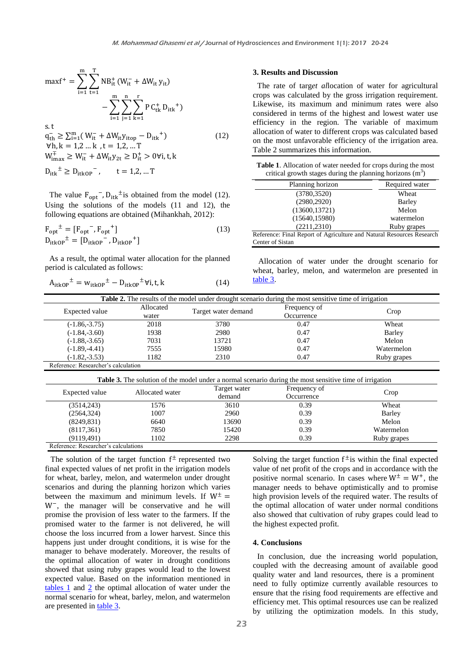$$
\max f^{+} = \sum_{i=1}^{m} \sum_{t=1}^{T} NB_{it}^{+} (W_{it}^{-} + \Delta W_{it} y_{it}) - \sum_{i=1}^{m} \sum_{j=1}^{n} \sum_{k=1}^{T} P C_{tk}^{+} D_{itk}^{+}) - \sum_{i=1}^{m} \sum_{j=1}^{n} \sum_{k=1}^{T} P C_{tk}^{+} D_{itk}^{+})
$$
  
s.t  
 $q_{th}^{-} \ge \sum_{i=1}^{m} (W_{it}^{-} + \Delta W_{it} y_{itop} - D_{itk}^{+})$  (12)  
 $W_{th}^{+} = 1, 2, ... k$ ,  $t = 1, 2, ... T$   
 $W_{tmax}^{+} \ge W_{it}^{-} + \Delta W_{it} y_{2t} \ge D_{it}^{+} > 0$ Vi, t, k

$$
D_{itk}^{\pm} \ge D_{itkOP}^{-}
$$
,  $t = 1, 2, ... T$ 

The value  $F_{\text{out}}$ ,  $D_{\text{itk}}^{\dagger}$  is obtained from the model (12). Using the solutions of the models (11 and 12), the following equations are obtained (Mihankhah, 2012):

$$
F_{opt}^{\dagger} = [F_{opt}^-, F_{opt}^+]
$$
  
\n
$$
D_{itkop}^{\dagger} = [D_{itkop}^-, D_{itkop}^+]
$$
\n(13)

As a result, the optimal water allocation for the planned period is calculated as follows:

$$
A_{itkOP}^{\dagger} = w_{itkOP}^{\dagger} - D_{itkOP}^{\dagger} \forall i, t, k \tag{14}
$$

#### **3. Results and Discussion**

The rate of targ*et al*location of water for agricultural crops was calculated by the gross irrigation requirement. Likewise, its maximum and minimum rates were also considered in terms of the highest and lowest water use efficiency in the region. The variable of maximum allocation of water to different crops was calculated based on the most unfavorable efficiency of the irrigation area. Table 2 summarizes this information.

<span id="page-3-1"></span>

| Table 1. Allocation of water needed for crops during the most |
|---------------------------------------------------------------|
| critical growth stages during the planning horizons $(m^3)$   |

| Planning horizon                                                      | Required water |
|-----------------------------------------------------------------------|----------------|
| (3780, 3520)                                                          | Wheat          |
| (2980, 2920)                                                          | Barley         |
| (13600, 13721)                                                        | Melon          |
| (15640, 15980)                                                        | watermelon     |
| (2211, 2310)                                                          | Ruby grapes    |
| Reference: Final Report of Agriculture and Natural Resources Research |                |
| Center of Sistan                                                      |                |

Allocation of water under the drought scenario for wheat, barley, melon, and watermelon are presented in [table 3.](#page-3-0)

<span id="page-3-2"></span>

|                                     |           | <b>Table 2.</b> The results of the model under drought scenario during the most sensitive time of irrigation |              |             |
|-------------------------------------|-----------|--------------------------------------------------------------------------------------------------------------|--------------|-------------|
|                                     | Allocated | Target water demand                                                                                          | Frequency of | Crop        |
| Expected value                      | water     |                                                                                                              | Occurrence   |             |
| $(-1.86,-3.75)$                     | 2018      | 3780                                                                                                         | 0.47         | Wheat       |
| $(-1.84,-3.60)$                     | 1938      | 2980                                                                                                         | 0.47         | Barley      |
| $(-1.88,-3.65)$                     | 7031      | 13721                                                                                                        | 0.47         | Melon       |
| $(-1.89,-4.41)$                     | 7555      | 15980                                                                                                        | 0.47         | Watermelon  |
| $(-1.82,-3.53)$                     | 1182      | 2310                                                                                                         | 0.47         | Ruby grapes |
| Reference: Researcher's calculation |           |                                                                                                              |              |             |

<span id="page-3-0"></span>

| Expected value | Allocated water | Target water<br>demand | Frequency of<br>Occurrence | Crop        |
|----------------|-----------------|------------------------|----------------------------|-------------|
|                |                 |                        |                            |             |
| (2564, 324)    | 1007            | 2960                   | 0.39                       | Barley      |
| (8249, 831)    | 6640            | 13690                  | 0.39                       | Melon       |
| (8117, 361)    | 7850            | 15420                  | 0.39                       | Watermelon  |
| (9119, 491)    | 1102            | 2298                   | 0.39                       | Ruby grapes |

The solution of the target function  $f^{\pm}$  represented two final expected values of net profit in the irrigation models for wheat, barley, melon, and watermelon under drought scenarios and during the planning horizon which varies between the maximum and minimum levels. If  $W^{\pm}$  = , the manager will be conservative and he will promise the provision of less water to the farmers. If the promised water to the farmer is not delivered, he will choose the loss incurred from a lower harvest. Since this happens just under drought conditions, it is wise for the manager to behave moderately. Moreover, the results of the optimal allocation of water in drought conditions showed that using ruby grapes would lead to the lowest expected value. Based on the information mentioned in [tables](#page-3-1) 1 and [2](#page-3-2) the optimal allocation of water under the normal scenario for wheat, barley, melon, and watermelon are presented i[n table 3.](#page-3-0)

Solving the target function  $f^{\pm}$  is within the final expected value of net profit of the crops and in accordance with the positive normal scenario. In cases where  $W^{\pm} = W^{+}$ , the manager needs to behave optimistically and to promise high provision levels of the required water. The results of the optimal allocation of water under normal conditions also showed that cultivation of ruby grapes could lead to the highest expected profit.

### **4. Conclusions**

In conclusion, due the increasing world population, coupled with the decreasing amount of available good quality water and land resources, there is a prominent need to fully optimize currently available resources to ensure that the rising food requirements are effective and efficiency met. This optimal resources use can be realized by utilizing the optimization models. In this study,